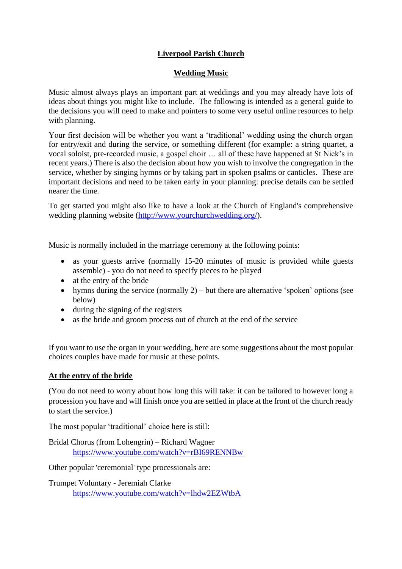# **Liverpool Parish Church**

### **Wedding Music**

Music almost always plays an important part at weddings and you may already have lots of ideas about things you might like to include. The following is intended as a general guide to the decisions you will need to make and pointers to some very useful online resources to help with planning.

Your first decision will be whether you want a 'traditional' wedding using the church organ for entry/exit and during the service, or something different (for example: a string quartet, a vocal soloist, pre-recorded music, a gospel choir … all of these have happened at St Nick's in recent years.) There is also the decision about how you wish to involve the congregation in the service, whether by singing hymns or by taking part in spoken psalms or canticles. These are important decisions and need to be taken early in your planning: precise details can be settled nearer the time.

To get started you might also like to have a look at the Church of England's comprehensive wedding planning website [\(http://www.yourchurchwedding.org/\)](http://www.yourchurchwedding.org/).

Music is normally included in the marriage ceremony at the following points:

- as your guests arrive (normally 15-20 minutes of music is provided while guests assemble) - you do not need to specify pieces to be played
- at the entry of the bride
- hymns during the service (normally  $2$ ) but there are alternative 'spoken' options (see below)
- during the signing of the registers
- as the bride and groom process out of church at the end of the service

If you want to use the organ in your wedding, here are some suggestions about the most popular choices couples have made for music at these points.

#### **At the entry of the bride**

(You do not need to worry about how long this will take: it can be tailored to however long a procession you have and will finish once you are settled in place at the front of the church ready to start the service.)

The most popular 'traditional' choice here is still:

Bridal Chorus (from Lohengrin) – Richard Wagner <https://www.youtube.com/watch?v=rBI69RENNBw>

Other popular 'ceremonial' type processionals are:

Trumpet Voluntary - Jeremiah Clarke <https://www.youtube.com/watch?v=lhdw2EZWtbA>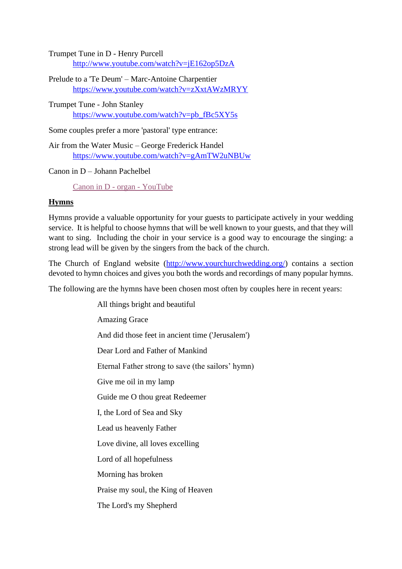Trumpet Tune in D - Henry Purcell <http://www.youtube.com/watch?v=jE162op5DzA>

Prelude to a 'Te Deum' – Marc-Antoine Charpentier <https://www.youtube.com/watch?v=zXxtAWzMRYY>

Trumpet Tune - John Stanley [https://www.youtube.com/watch?v=pb\\_fBc5XY5s](https://www.youtube.com/watch?v=pb_fBc5XY5s)

Some couples prefer a more 'pastoral' type entrance:

Air from the Water Music – George Frederick Handel <https://www.youtube.com/watch?v=gAmTW2uNBUw>

Canon in D – Johann Pachelbel

[Canon in D -](https://www.youtube.com/watch?v=0AhDBTBmJCY) organ - YouTube

#### **Hymns**

Hymns provide a valuable opportunity for your guests to participate actively in your wedding service. It is helpful to choose hymns that will be well known to your guests, and that they will want to sing. Including the choir in your service is a good way to encourage the singing: a strong lead will be given by the singers from the back of the church.

The Church of England website [\(http://www.yourchurchwedding.org/\)](http://www.yourchurchwedding.org/) contains a section devoted to hymn choices and gives you both the words and recordings of many popular hymns.

The following are the hymns have been chosen most often by couples here in recent years:

All things bright and beautiful Amazing Grace And did those feet in ancient time ('Jerusalem') Dear Lord and Father of Mankind Eternal Father strong to save (the sailors' hymn) Give me oil in my lamp Guide me O thou great Redeemer I, the Lord of Sea and Sky Lead us heavenly Father Love divine, all loves excelling Lord of all hopefulness Morning has broken Praise my soul, the King of Heaven The Lord's my Shepherd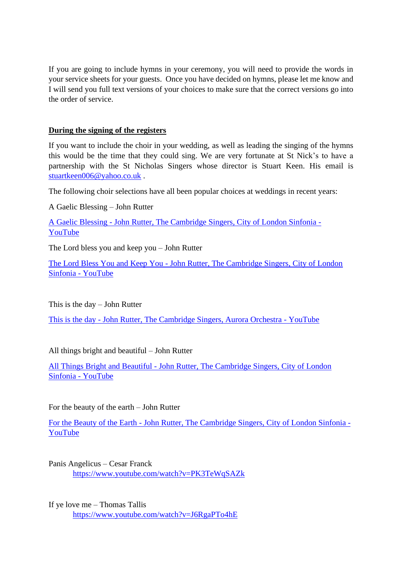If you are going to include hymns in your ceremony, you will need to provide the words in your service sheets for your guests. Once you have decided on hymns, please let me know and I will send you full text versions of your choices to make sure that the correct versions go into the order of service.

#### **During the signing of the registers**

If you want to include the choir in your wedding, as well as leading the singing of the hymns this would be the time that they could sing. We are very fortunate at St Nick's to have a partnership with the St Nicholas Singers whose director is Stuart Keen. His email is [stuartkeen006@yahoo.co.uk](mailto:stuartkeen006@yahoo.co.uk) .

The following choir selections have all been popular choices at weddings in recent years:

A Gaelic Blessing – John Rutter

A Gaelic Blessing - [John Rutter, The Cambridge Singers, City of London Sinfonia -](https://www.youtube.com/watch?v=_8MKEpXqGko) [YouTube](https://www.youtube.com/watch?v=_8MKEpXqGko)

The Lord bless you and keep you – John Rutter

The Lord Bless You and Keep You - [John Rutter, The Cambridge Singers, City of London](https://www.youtube.com/watch?v=QcYzO8Y4PH0)  [Sinfonia -](https://www.youtube.com/watch?v=QcYzO8Y4PH0) YouTube

This is the day – John Rutter

This is the day - [John Rutter, The Cambridge Singers, Aurora Orchestra -](https://www.youtube.com/watch?v=8AlwbJSrlyc) YouTube

All things bright and beautiful – John Rutter

All Things Bright and Beautiful - [John Rutter, The Cambridge Singers, City of London](https://www.youtube.com/watch?v=ShpRCvU_bxM)  [Sinfonia -](https://www.youtube.com/watch?v=ShpRCvU_bxM) YouTube

For the beauty of the earth – John Rutter

For the Beauty of the Earth - [John Rutter, The Cambridge Singers, City of London Sinfonia -](https://www.youtube.com/watch?v=1bDoMflYErE) [YouTube](https://www.youtube.com/watch?v=1bDoMflYErE)

Panis Angelicus – Cesar Franck <https://www.youtube.com/watch?v=PK3TeWqSAZk>

If ye love me – Thomas Tallis <https://www.youtube.com/watch?v=J6RgaPTo4hE>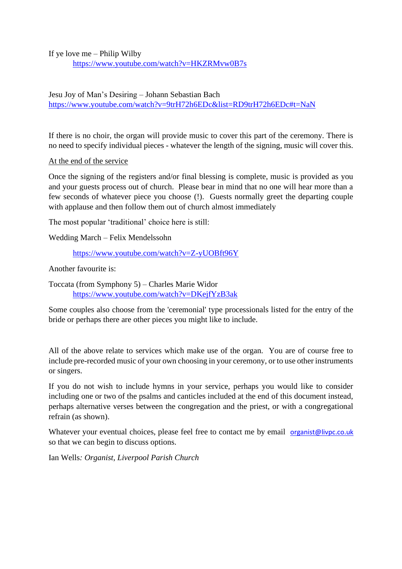If ye love me – Philip Wilby

<https://www.youtube.com/watch?v=HKZRMvw0B7s>

### Jesu Joy of Man's Desiring – Johann Sebastian Bach <https://www.youtube.com/watch?v=9trH72h6EDc&list=RD9trH72h6EDc#t=NaN>

If there is no choir, the organ will provide music to cover this part of the ceremony. There is no need to specify individual pieces - whatever the length of the signing, music will cover this.

At the end of the service

Once the signing of the registers and/or final blessing is complete, music is provided as you and your guests process out of church. Please bear in mind that no one will hear more than a few seconds of whatever piece you choose (!). Guests normally greet the departing couple with applause and then follow them out of church almost immediately

The most popular 'traditional' choice here is still:

Wedding March – Felix Mendelssohn

<https://www.youtube.com/watch?v=Z-yUOBft96Y>

Another favourite is:

Toccata (from Symphony 5) – Charles Marie Widor <https://www.youtube.com/watch?v=DKejfYzB3ak>

Some couples also choose from the 'ceremonial' type processionals listed for the entry of the bride or perhaps there are other pieces you might like to include.

All of the above relate to services which make use of the organ. You are of course free to include pre-recorded music of your own choosing in your ceremony, or to use other instruments or singers.

If you do not wish to include hymns in your service, perhaps you would like to consider including one or two of the psalms and canticles included at the end of this document instead, perhaps alternative verses between the congregation and the priest, or with a congregational refrain (as shown).

Whatever your eventual choices, please feel free to contact me by email [organist@livpc.co.uk](mailto:organist@livpc.co.uk) so that we can begin to discuss options.

Ian Wells*: Organist, Liverpool Parish Church*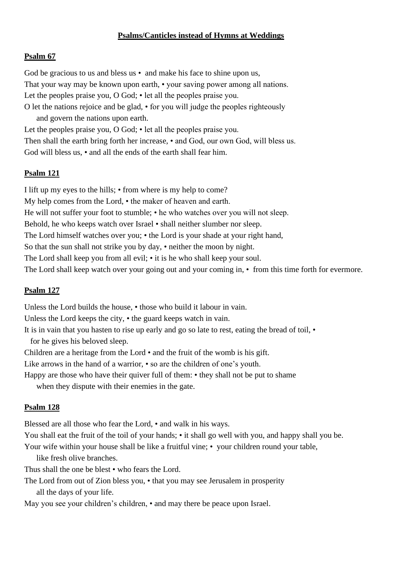### **Psalms/Canticles instead of Hymns at Weddings**

#### **Psalm 67**

God be gracious to us and bless us • and make his face to shine upon us, That your way may be known upon earth, • your saving power among all nations. Let the peoples praise you, O God; • let all the peoples praise you. O let the nations rejoice and be glad, • for you will judge the peoples righteously and govern the nations upon earth. Let the peoples praise you, O God; • let all the peoples praise you. Then shall the earth bring forth her increase, • and God, our own God, will bless us.

God will bless us, • and all the ends of the earth shall fear him.

#### **Psalm 121**

I lift up my eyes to the hills; • from where is my help to come? My help comes from the Lord, • the maker of heaven and earth. He will not suffer your foot to stumble; • he who watches over you will not sleep. Behold, he who keeps watch over Israel • shall neither slumber nor sleep. The Lord himself watches over you; • the Lord is your shade at your right hand, So that the sun shall not strike you by day, • neither the moon by night. The Lord shall keep you from all evil; • it is he who shall keep your soul. The Lord shall keep watch over your going out and your coming in, • from this time forth for evermore.

#### **Psalm 127**

Unless the Lord builds the house, • those who build it labour in vain.

Unless the Lord keeps the city, • the guard keeps watch in vain.

It is in vain that you hasten to rise up early and go so late to rest, eating the bread of toil, • for he gives his beloved sleep.

Children are a heritage from the Lord  $\cdot$  and the fruit of the womb is his gift.

Like arrows in the hand of a warrior,  $\cdot$  so are the children of one's youth.

Happy are those who have their quiver full of them: • they shall not be put to shame

when they dispute with their enemies in the gate.

#### **Psalm 128**

Blessed are all those who fear the Lord, • and walk in his ways.

You shall eat the fruit of the toil of your hands; • it shall go well with you, and happy shall you be. Your wife within your house shall be like a fruitful vine; • your children round your table,

like fresh olive branches.

Thus shall the one be blest • who fears the Lord.

The Lord from out of Zion bless you, • that you may see Jerusalem in prosperity all the days of your life.

May you see your children's children, • and may there be peace upon Israel.